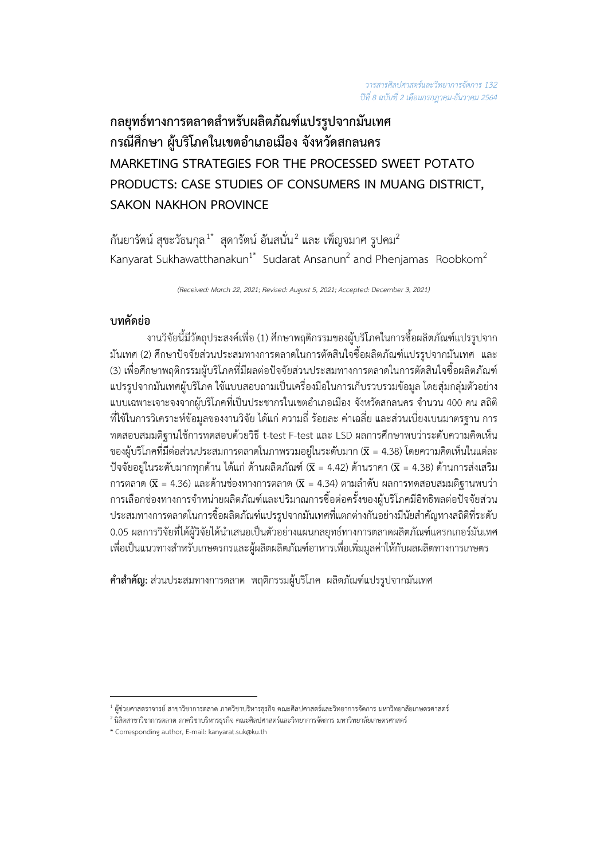# **กลยุทธทางการตลาดสำหรับผลิตภัณฑแปรรูปจากมันเทศ กรณีศึกษา ผูบริโภคในเขตอำเภอเมือง จังหวัดสกลนคร MARKETING STRATEGIES FOR THE PROCESSED SWEET POTATO PRODUCTS: CASE STUDIES OF CONSUMERS IN MUANG DISTRICT, SAKON NAKHON PROVINCE**

กันยารัตน์ สุขะวัธนกุล  $^{1^\ast}$  สุดารัตน์ อันสนั่น $^2$  และ เพ็ญจมาศ รูปคม $^2$ Kanyarat Sukhawatthanakun<sup>1\*</sup> Sudarat Ansanun<sup>2</sup> and Phenjamas Roobkom<sup>2</sup>

*(Received: March 22, 2021; Revised: August 5, 2021; Accepted: December 3, 2021)*

# **บทคัดยอ**

งานวิจัยนี้มีวัตถุประสงคเพื่อ (1) ศึกษาพฤติกรรมของผูบริโภคในการซื้อผลิตภัณฑแปรรูปจาก มันเทศ (2) ศึกษาปจจัยสวนประสมทางการตลาดในการตัดสินใจซื้อผลิตภัณฑแปรรูปจากมันเทศ และ (3) เพื่อศึกษาพฤติกรรมผูบริโภคที่มีผลตอปจจัยสวนประสมทางการตลาดในการตัดสินใจซื้อผลิตภัณฑ แปรรูปจากมันเทศผู้บริโภค ใช้แบบสอบถามเป็นเครื่องมือในการเก็บรวบรวมข้อมูล โดยสุ่มกลุ่มตัวอย่าง แบบเฉพาะเจาะจงจากผูบริโภคที่เปนประชากรในเขตอำเภอเมือง จังหวัดสกลนคร จำนวน 400 คน สถิติ ที่ใช้ในการวิเคราะห์ข้อมลของงานวิจัย ได้แก่ ความถี่ ร้อยละ ค่าเฉลี่ย และส่วนเบี่ยงเบนมาตรฐาน การ ทดสอบสมมติฐานใชการทดสอบดวยวิธี t-test F-test และ LSD ผลการศึกษาพบวาระดับความคิดเห็น ของผู้บริโภคที่มีต่อส่วนประสมการตลาดในภาพรวมอยู่ในระดับมาก ( $\overline{\mathbf{x}}$  = 4.38) โดยความคิดเห็นในแต่ละ ปัจจัยอยู่ในระดับมากทุกด้าน ได้แก่ ด้านผลิตภัณฑ์ ( $\overline{x}$  = 4.42) ด้านราคา ( $\overline{x}$  = 4.38) ด้านการส่งเสริม การตลาด ( $\overline{x}$  = 4.36) และด้านช่องทางการตลาด ( $\overline{x}$  = 4.34) ตามลำดับ ผลการทดสอบสมมติฐานพบว่า การเลือกชองทางการจำหนายผลิตภัณฑและปริมาณการซื้อตอครั้งของผูบริโภคมีอิทธิพลตอปจจัยสวน ประสมทางการตลาดในการซื้อผลิตภัณฑแปรรูปจากมันเทศที่แตกตางกันอยางมีนัยสำคัญทางสถิติที่ระดับ 0.05 ผลการวิจัยที่ไดผูวิจัยไดนำเสนอเปนตัวอยางแผนกลยุทธทางการตลาดผลิตภัณฑแครกเกอรมันเทศ เพื่อเปนแนวทางสำหรับเกษตรกรและผูผลิตผลิตภัณฑอาหารเพื่อเพิ่มมูลคาใหกับผลผลิตทางการเกษตร

**คำสำคัญ:** สวนประสมทางการตลาด พฤติกรรมผูบริโภค ผลิตภัณฑแปรรูปจากมันเทศ

 $^{\rm 1}$ ผู้ช่วยศาสตราจารย์ สาขาวิชาการตลาด ภาควิชาบริหารธุรกิจ คณะศิลปศาสตร์และวิทยาการจัดการ มหาวิทยาลัยเกษตรศาสตร์

 $^{\text{2}}$ นิสิตสาขาวิชาการตลาด ภาควิชาบริหารธุรกิจ คณะศิลปศาสตร์และวิทยาการจัดการ มหาวิทยาลัยเกษตรศาสตร์

<sup>\*</sup> Corresponding author, E-mail: kanyarat.suk@ku.th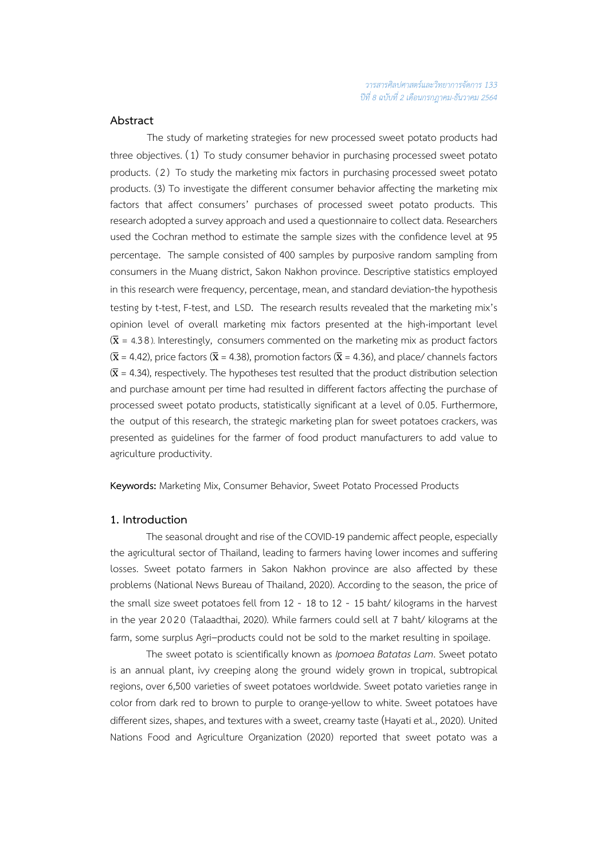## **Abstract**

The study of marketing strategies for new processed sweet potato products had three objectives. (1) To study consumer behavior in purchasing processed sweet potato products. (2) To study the marketing mix factors in purchasing processed sweet potato products. (3) To investigate the different consumer behavior affecting the marketing mix factors that affect consumers' purchases of processed sweet potato products. This research adopted a survey approach and used a questionnaire to collect data. Researchers used the Cochran method to estimate the sample sizes with the confidence level at 95 percentage. The sample consisted of 400 samples by purposive random sampling from consumers in the Muang district, Sakon Nakhon province. Descriptive statistics employed in this research were frequency, percentage, mean, and standard deviation-the hypothesis testing by t-test, F-test, and LSD. The research results revealed that the marketing mix's opinion level of overall marketing mix factors presented at the high-important level  $(\overline{x} = 4.38)$ . Interestingly, consumers commented on the marketing mix as product factors  $(\overline{x}$  = 4.42), price factors ( $\overline{x}$  = 4.38), promotion factors ( $\overline{x}$  = 4.36), and place/ channels factors  $(\overline{x}$  = 4.34), respectively. The hypotheses test resulted that the product distribution selection and purchase amount per time had resulted in different factors affecting the purchase of processed sweet potato products, statistically significant at a level of 0.05. Furthermore, the output of this research, the strategic marketing plan for sweet potatoes crackers, was presented as guidelines for the farmer of food product manufacturers to add value to agriculture productivity.

**Keywords:** Marketing Mix, Consumer Behavior, Sweet Potato Processed Products

### **1. Introduction**

 The seasonal drought and rise of the COVID-19 pandemic affect people, especially the agricultural sector of Thailand, leading to farmers having lower incomes and suffering losses. Sweet potato farmers in Sakon Nakhon province are also affected by these problems (National News Bureau of Thailand, 2020). According to the season, the price of the small size sweet potatoes fell from 12 - 18 to 12 - 15 baht/ kilograms in the harvest in the year 2020 (Talaadthai, 2020). While farmers could sell at 7 baht/ kilograms at the farm, some surplus Agri–products could not be sold to the market resulting in spoilage.

The sweet potato is scientifically known as *Ipomoea Batatas Lam*. Sweet potato is an annual plant, ivy creeping along the ground widely grown in tropical, subtropical regions, over 6,500 varieties of sweet potatoes worldwide. Sweet potato varieties range in color from dark red to brown to purple to orange-yellow to white. Sweet potatoes have different sizes, shapes, and textures with a sweet, creamy taste (Hayati et al., 2020). United Nations Food and Agriculture Organization (2020) reported that sweet potato was a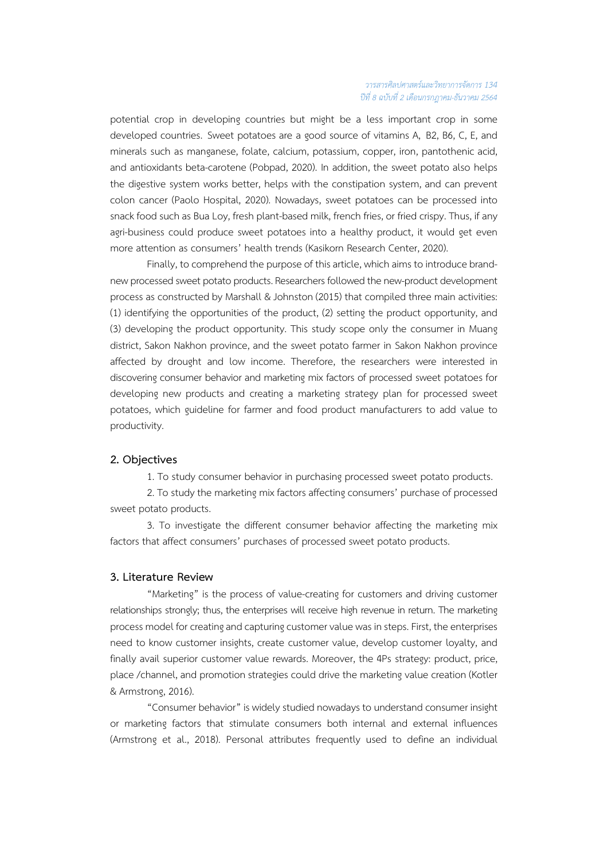potential crop in developing countries but might be a less important crop in some developed countries. Sweet potatoes are a good source of vitamins A, B2, B6, C, E, and minerals such as manganese, folate, calcium, potassium, copper, iron, pantothenic acid, and antioxidants beta-carotene (Pobpad, 2020). In addition, the sweet potato also helps the digestive system works better, helps with the constipation system, and can prevent colon cancer (Paolo Hospital, 2020). Nowadays, sweet potatoes can be processed into snack food such as Bua Loy, fresh plant-based milk, french fries, or fried crispy. Thus, if any agri-business could produce sweet potatoes into a healthy product, it would get even more attention as consumers' health trends (Kasikorn Research Center, 2020).

Finally, to comprehend the purpose of this article, which aims to introduce brandnew processed sweet potato products. Researchers followed the new-product development process as constructed by Marshall & Johnston (2015) that compiled three main activities: (1) identifying the opportunities of the product, (2) setting the product opportunity, and (3) developing the product opportunity. This study scope only the consumer in Muang district, Sakon Nakhon province, and the sweet potato farmer in Sakon Nakhon province affected by drought and low income. Therefore, the researchers were interested in discovering consumer behavior and marketing mix factors of processed sweet potatoes for developing new products and creating a marketing strategy plan for processed sweet potatoes, which guideline for farmer and food product manufacturers to add value to productivity.

#### **2. Objectives**

1. To study consumer behavior in purchasing processed sweet potato products.

2. To study the marketing mix factors affecting consumers' purchase of processed sweet potato products.

3. To investigate the different consumer behavior affecting the marketing mix factors that affect consumers' purchases of processed sweet potato products.

#### **3. Literature Review**

"Marketing" is the process of value-creating for customers and driving customer relationships strongly; thus, the enterprises will receive high revenue in return. The marketing process model for creating and capturing customer value was in steps. First, the enterprises need to know customer insights, create customer value, develop customer loyalty, and finally avail superior customer value rewards. Moreover, the 4Ps strategy: product, price, place /channel, and promotion strategies could drive the marketing value creation (Kotler & Armstrong, 2016).

"Consumer behavior" is widely studied nowadays to understand consumer insight or marketing factors that stimulate consumers both internal and external influences (Armstrong et al., 2018). Personal attributes frequently used to define an individual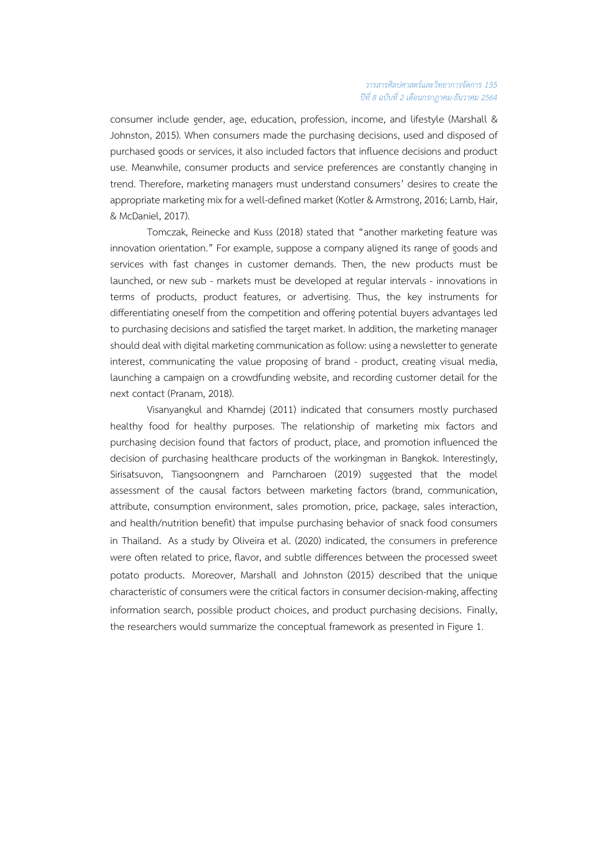#### *วารสารศิลปศาสตรและวิทยาการจัดการ 135 ปที่ 8 ฉบับที่ 2 เดือนกรกฎาคม-ธันวาคม 2564*

consumer include gender, age, education, profession, income, and lifestyle (Marshall & Johnston, 2015). When consumers made the purchasing decisions, used and disposed of purchased goods or services, it also included factors that influence decisions and product use. Meanwhile, consumer products and service preferences are constantly changing in trend. Therefore, marketing managers must understand consumers' desires to create the appropriate marketing mix for a well-defined market (Kotler & Armstrong, 2016; Lamb, Hair, & McDaniel, 2017).

Tomczak, Reinecke and Kuss (2018) stated that "another marketing feature was innovation orientation." For example, suppose a company aligned its range of goods and services with fast changes in customer demands. Then, the new products must be launched, or new sub - markets must be developed at regular intervals - innovations in terms of products, product features, or advertising. Thus, the key instruments for differentiating oneself from the competition and offering potential buyers advantages led to purchasing decisions and satisfied the target market. In addition, the marketing manager should deal with digital marketing communication as follow: using a newsletter to generate interest, communicating the value proposing of brand - product, creating visual media, launching a campaign on a crowdfunding website, and recording customer detail for the next contact (Pranam, 2018).

Visanyangkul and Khamdej (2011) indicated that consumers mostly purchased healthy food for healthy purposes. The relationship of marketing mix factors and purchasing decision found that factors of product, place, and promotion influenced the decision of purchasing healthcare products of the workingman in Bangkok. Interestingly, Sirisatsuvon, Tiangsoongnern and Parncharoen (2019) suggested that the model assessment of the causal factors between marketing factors (brand, communication, attribute, consumption environment, sales promotion, price, package, sales interaction, and health/nutrition benefit) that impulse purchasing behavior of snack food consumers in Thailand. As a study by Oliveira et al. (2020) indicated, the consumers in preference were often related to price, flavor, and subtle differences between the processed sweet potato products. Moreover, Marshall and Johnston (2015) described that the unique characteristic of consumers were the critical factors in consumer decision-making, affecting information search, possible product choices, and product purchasing decisions. Finally, the researchers would summarize the conceptual framework as presented in Figure 1.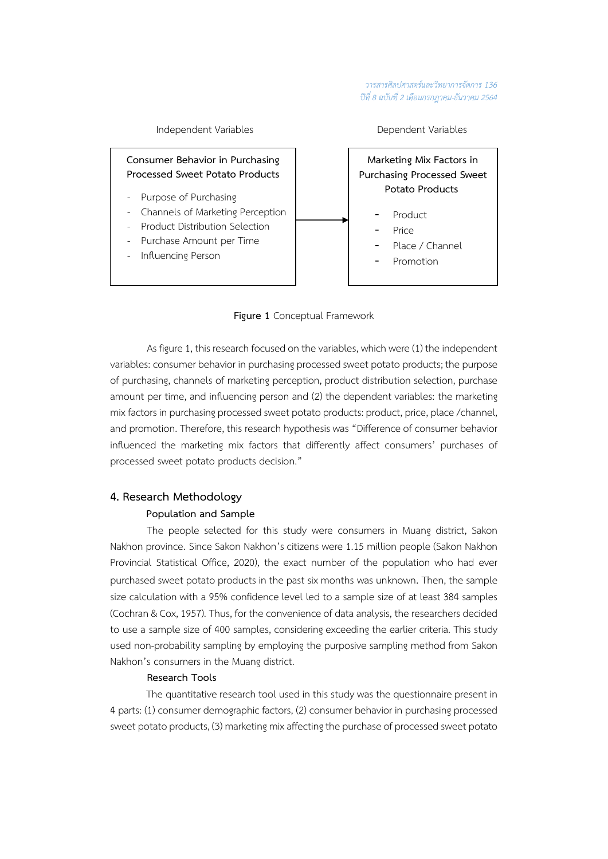

## **Figure 1** Conceptual Framework

 As figure 1, this research focused on the variables, which were (1) the independent variables: consumer behavior in purchasing processed sweet potato products; the purpose of purchasing, channels of marketing perception, product distribution selection, purchase amount per time, and influencing person and (2) the dependent variables: the marketing mix factors in purchasing processed sweet potato products: product, price, place /channel, and promotion. Therefore, this research hypothesis was "Difference of consumer behavior influenced the marketing mix factors that differently affect consumers' purchases of processed sweet potato products decision."

## **4. Research Methodology**

#### **Population and Sample**

The people selected for this study were consumers in Muang district, Sakon Nakhon province. Since Sakon Nakhon's citizens were 1.15 million people (Sakon Nakhon Provincial Statistical Office, 2020), the exact number of the population who had ever purchased sweet potato products in the past six months was unknown. Then, the sample size calculation with a 95% confidence level led to a sample size of at least 384 samples (Cochran & Cox, 1957). Thus, for the convenience of data analysis, the researchers decided to use a sample size of 400 samples, considering exceeding the earlier criteria. This study used non-probability sampling by employing the purposive sampling method from Sakon Nakhon's consumers in the Muang district.

## **Research Tools**

The quantitative research tool used in this study was the questionnaire present in 4 parts: (1) consumer demographic factors, (2) consumer behavior in purchasing processed sweet potato products, (3) marketing mix affecting the purchase of processed sweet potato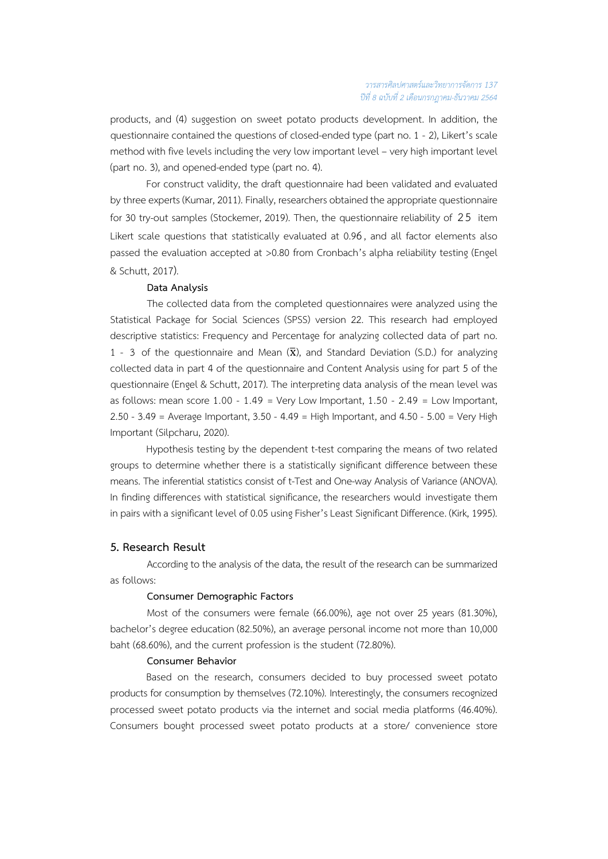products, and (4) suggestion on sweet potato products development. In addition, the questionnaire contained the questions of closed-ended type (part no. 1 - 2), Likert's scale method with five levels including the very low important level – very high important level (part no. 3), and opened-ended type (part no. 4).

For construct validity, the draft questionnaire had been validated and evaluated by three experts (Kumar, 2011). Finally, researchers obtained the appropriate questionnaire for 30 try-out samples (Stockemer, 2019). Then, the questionnaire reliability of 25 item Likert scale questions that statistically evaluated at 0.96, and all factor elements also passed the evaluation accepted at >0.80 from Cronbach's alpha reliability testing (Engel & Schutt, 2017).

#### **Data Analysis**

The collected data from the completed questionnaires were analyzed using the Statistical Package for Social Sciences (SPSS) version 22. This research had employed descriptive statistics: Frequency and Percentage for analyzing collected data of part no. 1 - 3 of the questionnaire and Mean  $(\overline{x})$ , and Standard Deviation (S.D.) for analyzing collected data in part 4 of the questionnaire and Content Analysis using for part 5 of the questionnaire (Engel & Schutt, 2017). The interpreting data analysis of the mean level was as follows: mean score  $1.00 - 1.49 =$  Very Low Important,  $1.50 - 2.49 =$  Low Important, 2.50 - 3.49 = Average Important, 3.50 - 4.49 = High Important, and 4.50 - 5.00 = Very High Important (Silpcharu, 2020).

Hypothesis testing by the dependent t-test comparing the means of two related groups to determine whether there is a statistically significant difference between these means. The inferential statistics consist of t-Test and One-way Analysis of Variance (ANOVA). In finding differences with statistical significance, the researchers would investigate them in pairs with a significant level of 0.05 using Fisher's Least Significant Difference. (Kirk, 1995).

#### **5. Research Result**

According to the analysis of the data, the result of the research can be summarized as follows:

## **Consumer Demographic Factors**

Most of the consumers were female (66.00%), age not over 25 years (81.30%), bachelor's degree education (82.50%), an average personal income not more than 10,000 baht (68.60%), and the current profession is the student (72.80%).

#### **Consumer Behavior**

 Based on the research, consumers decided to buy processed sweet potato products for consumption by themselves (72.10%). Interestingly, the consumers recognized processed sweet potato products via the internet and social media platforms (46.40%). Consumers bought processed sweet potato products at a store/ convenience store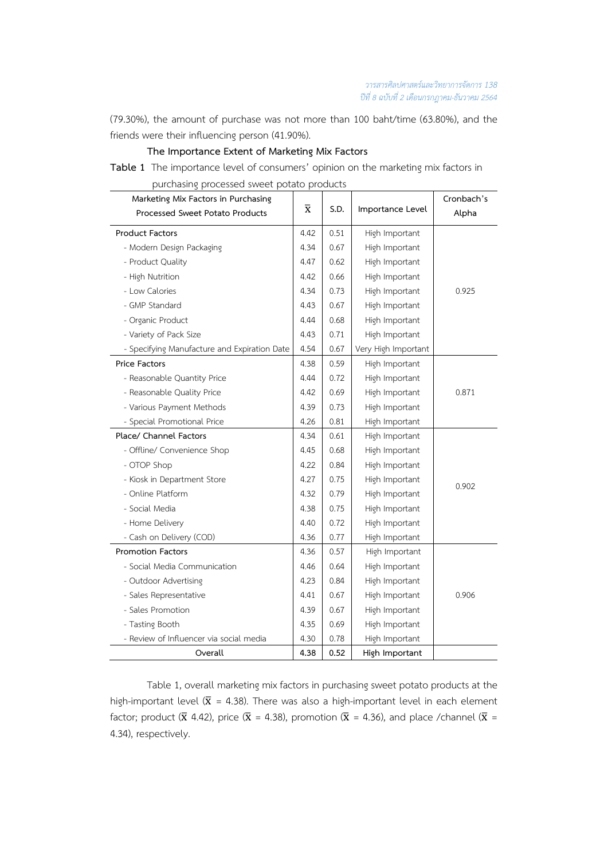(79.30%), the amount of purchase was not more than 100 baht/time (63.80%), and the friends were their influencing person (41.90%).

## **The Importance Extent of Marketing Mix Factors**

**Table 1** The importance level of consumers' opinion on the marketing mix factors in purchasing processed sweet potato products

| arendon'ny processea sineet potato<br>Marketing Mix Factors in Purchasing<br><b>Processed Sweet Potato Products</b> | $\overline{\textbf{X}}$ | S.D. | Importance Level    | Cronbach's<br>Alpha |  |
|---------------------------------------------------------------------------------------------------------------------|-------------------------|------|---------------------|---------------------|--|
| <b>Product Factors</b>                                                                                              | 4.42                    | 0.51 | High Important      |                     |  |
| - Modern Design Packaging                                                                                           | 4.34                    | 0.67 | High Important      |                     |  |
| - Product Quality                                                                                                   | 4.47                    | 0.62 | High Important      |                     |  |
| - High Nutrition                                                                                                    | 4.42                    | 0.66 | High Important      |                     |  |
| - Low Calories                                                                                                      | 4.34                    | 0.73 | High Important      | 0.925               |  |
| - GMP Standard                                                                                                      | 4.43                    | 0.67 | High Important      |                     |  |
| - Organic Product                                                                                                   | 4.44                    | 0.68 | High Important      |                     |  |
| - Variety of Pack Size                                                                                              | 4.43                    | 0.71 | High Important      |                     |  |
| - Specifying Manufacture and Expiration Date                                                                        | 4.54                    | 0.67 | Very High Important |                     |  |
| <b>Price Factors</b>                                                                                                | 4.38                    | 0.59 | High Important      |                     |  |
| - Reasonable Quantity Price                                                                                         | 4.44                    | 0.72 | High Important      |                     |  |
| - Reasonable Quality Price                                                                                          |                         | 0.69 | High Important      | 0.871               |  |
| - Various Payment Methods                                                                                           |                         | 0.73 | High Important      |                     |  |
| - Special Promotional Price                                                                                         | 4.26                    | 0.81 | High Important      |                     |  |
| Place/ Channel Factors                                                                                              | 4.34                    | 0.61 | High Important      |                     |  |
| - Offline/ Convenience Shop                                                                                         | 4.45                    | 0.68 | High Important      |                     |  |
| - OTOP Shop                                                                                                         |                         | 0.84 | High Important      | 0.902               |  |
| - Kiosk in Department Store                                                                                         |                         | 0.75 | High Important      |                     |  |
| - Online Platform                                                                                                   |                         | 0.79 | High Important      |                     |  |
| - Social Media                                                                                                      | 4.38                    | 0.75 | High Important      |                     |  |
| - Home Delivery                                                                                                     | 4.40                    | 0.72 | High Important      |                     |  |
| - Cash on Delivery (COD)                                                                                            | 4.36                    | 0.77 | High Important      |                     |  |
| <b>Promotion Factors</b>                                                                                            | 4.36                    | 0.57 | High Important      |                     |  |
| - Social Media Communication                                                                                        | 4.46                    | 0.64 | High Important      |                     |  |
| - Outdoor Advertising                                                                                               | 4.23                    | 0.84 | High Important      |                     |  |
| - Sales Representative                                                                                              | 4.41                    | 0.67 | High Important      | 0.906               |  |
| - Sales Promotion                                                                                                   | 4.39                    | 0.67 | High Important      |                     |  |
| - Tasting Booth                                                                                                     | 4.35                    | 0.69 | High Important      |                     |  |
| - Review of Influencer via social media                                                                             | 4.30                    | 0.78 | High Important      |                     |  |
| Overall                                                                                                             | 4.38                    | 0.52 | High Important      |                     |  |

Table 1, overall marketing mix factors in purchasing sweet potato products at the high-important level ( $\bar{x}$  = 4.38). There was also a high-important level in each element factor; product ( $\bar{x}$  4.42), price ( $\bar{x}$  = 4.38), promotion ( $\bar{x}$  = 4.36), and place /channel ( $\bar{x}$  = 4.34), respectively.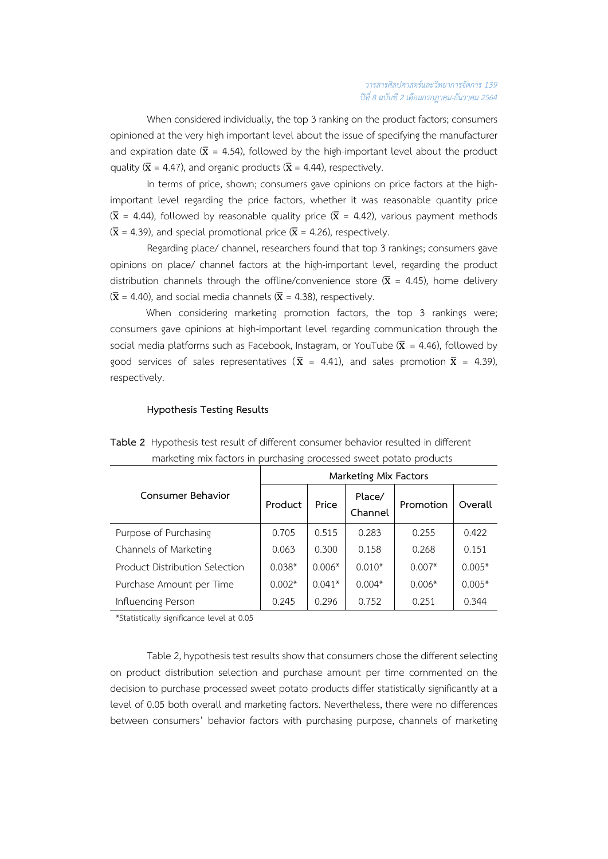When considered individually, the top 3 ranking on the product factors; consumers opinioned at the very high important level about the issue of specifying the manufacturer and expiration date ( $\bar{x}$  = 4.54), followed by the high-important level about the product quality ( $\bar{x}$  = 4.47), and organic products ( $\bar{x}$  = 4.44), respectively.

In terms of price, shown; consumers gave opinions on price factors at the highimportant level regarding the price factors, whether it was reasonable quantity price ( $\bar{x}$  = 4.44), followed by reasonable quality price ( $\bar{x}$  = 4.42), various payment methods  $(\bar{x} = 4.39)$ , and special promotional price ( $\bar{x} = 4.26$ ), respectively.

Regarding place/ channel, researchers found that top 3 rankings; consumers gave opinions on place/ channel factors at the high-important level, regarding the product distribution channels through the offline/convenience store  $(\bar{x} = 4.45)$ , home delivery  $(\bar{x} = 4.40)$ , and social media channels ( $\bar{x} = 4.38$ ), respectively.

When considering marketing promotion factors, the top 3 rankings were; consumers gave opinions at high-important level regarding communication through the social media platforms such as Facebook, Instagram, or YouTube ( $\bar{x}$  = 4.46), followed by good services of sales representatives ( $\bar{x}$  = 4.41), and sales promotion  $\bar{x}$  = 4.39), respectively.

## **Hypothesis Testing Results**

|                                | Marketing Mix Factors |          |                   |           |          |  |
|--------------------------------|-----------------------|----------|-------------------|-----------|----------|--|
| Consumer Behavior              | Product               | Price    | Place/<br>Channel | Promotion | Overall  |  |
| Purpose of Purchasing          | 0.705                 | 0.515    | 0.283             | 0.255     | 0.422    |  |
| Channels of Marketing          | 0.063                 | 0.300    | 0.158             | 0.268     | 0.151    |  |
| Product Distribution Selection | $0.038*$              | $0.006*$ | $0.010*$          | $0.007*$  | $0.005*$ |  |
| Purchase Amount per Time       | $0.002*$              | $0.041*$ | $0.004*$          | $0.006*$  | $0.005*$ |  |
| Influencing Person             | 0.245                 | 0.296    | 0.752             | 0.251     | 0.344    |  |

**Table 2** Hypothesis test result of different consumer behavior resulted in different marketing mix factors in purchasing processed sweet potato products

\*Statistically significance level at 0.05

Table 2, hypothesis test results show that consumers chose the different selecting on product distribution selection and purchase amount per time commented on the decision to purchase processed sweet potato products differ statistically significantly at a level of 0.05 both overall and marketing factors. Nevertheless, there were no differences between consumers' behavior factors with purchasing purpose, channels of marketing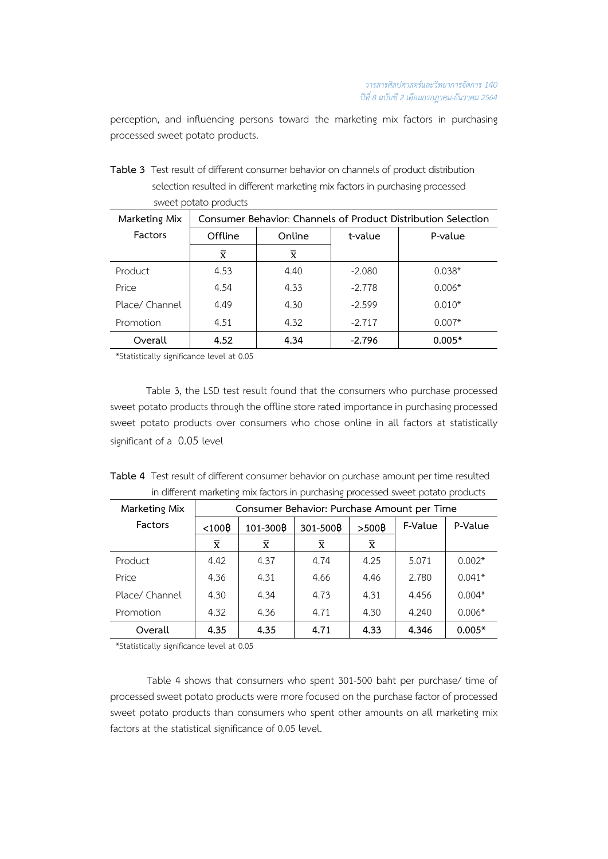perception, and influencing persons toward the marketing mix factors in purchasing processed sweet potato products.

| Table 3 Test result of different consumer behavior on channels of product distribution |
|----------------------------------------------------------------------------------------|
| selection resulted in different marketing mix factors in purchasing processed          |
| sweet potato products                                                                  |

| Marketing Mix  | Consumer Behavior: Channels of Product Distribution Selection |                         |          |          |  |
|----------------|---------------------------------------------------------------|-------------------------|----------|----------|--|
| Factors        | Offline                                                       | Online                  |          | P-value  |  |
|                | $\overline{\mathbf{x}}$                                       | $\overline{\mathbf{x}}$ |          |          |  |
| Product        | 4.53                                                          | 4.40                    | $-2.080$ | $0.038*$ |  |
| Price          | 4.54                                                          | 4.33                    | $-2.778$ | $0.006*$ |  |
| Place/ Channel | 4.49                                                          | 4.30                    | $-2.599$ | $0.010*$ |  |
| Promotion      | 4.51                                                          | 4.32                    | $-2.717$ | $0.007*$ |  |
| Overall        | 4.52                                                          | 4.34                    | $-2.796$ | $0.005*$ |  |

\*Statistically significance level at 0.05

Table 3, the LSD test result found that the consumers who purchase processed sweet potato products through the offline store rated importance in purchasing processed sweet potato products over consumers who chose online in all factors at statistically significant of a 0.05 level

| Table 4 Test result of different consumer behavior on purchase amount per time resulted |
|-----------------------------------------------------------------------------------------|
| in different marketing mix factors in purchasing processed sweet potato products        |

| Marketing Mix  | Consumer Behavior: Purchase Amount per Time |          |                |                |         |          |
|----------------|---------------------------------------------|----------|----------------|----------------|---------|----------|
| Factors        | $<$ 100 $\beta$                             | 101-300B | 301-500B       | >500₿          | F-Value | P-Value  |
|                | $\overline{x}$                              | X        | $\overline{x}$ | $\overline{x}$ |         |          |
| Product        | 4.42                                        | 4.37     | 4.74           | 4.25           | 5.071   | $0.002*$ |
| Price          | 4.36                                        | 4.31     | 4.66           | 4.46           | 2.780   | $0.041*$ |
| Place/ Channel | 4.30                                        | 4.34     | 4.73           | 4.31           | 4.456   | $0.004*$ |
| Promotion      | 4.32                                        | 4.36     | 4.71           | 4.30           | 4.240   | $0.006*$ |
| Overall        | 4.35                                        | 4.35     | 4.71           | 4.33           | 4.346   | $0.005*$ |

\*Statistically significance level at 0.05

Table 4 shows that consumers who spent 301-500 baht per purchase/ time of processed sweet potato products were more focused on the purchase factor of processed sweet potato products than consumers who spent other amounts on all marketing mix factors at the statistical significance of 0.05 level.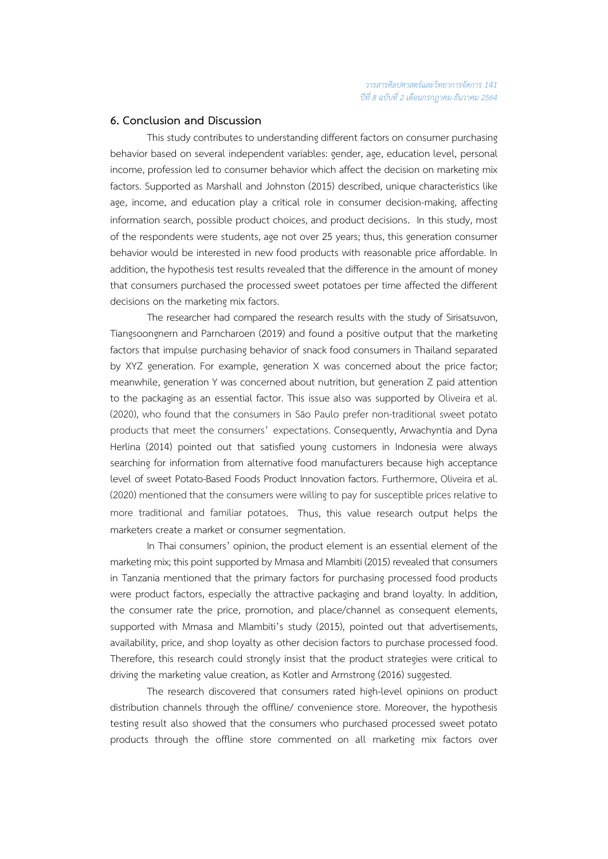## **6. Conclusion and Discussion**

This study contributes to understanding different factors on consumer purchasing behavior based on several independent variables: gender, age, education level, personal income, profession led to consumer behavior which affect the decision on marketing mix factors. Supported as Marshall and Johnston (2015) described, unique characteristics like age, income, and education play a critical role in consumer decision-making, affecting information search, possible product choices, and product decisions. In this study, most of the respondents were students, age not over 25 years; thus, this generation consumer behavior would be interested in new food products with reasonable price affordable. In addition, the hypothesis test results revealed that the difference in the amount of money that consumers purchased the processed sweet potatoes per time affected the different decisions on the marketing mix factors.

The researcher had compared the research results with the study of Sirisatsuvon, Tiangsoongnern and Parncharoen (2019) and found a positive output that the marketing factors that impulse purchasing behavior of snack food consumers in Thailand separated by XYZ generation. For example, generation X was concerned about the price factor; meanwhile, generation Y was concerned about nutrition, but generation Z paid attention to the packaging as an essential factor. This issue also was supported by Oliveira et al. (2020), who found that the consumers in São Paulo prefer non-traditional sweet potato products that meet the consumers' expectations. Consequently, Arwachyntia and Dyna Herlina (2014) pointed out that satisfied young customers in Indonesia were always searching for information from alternative food manufacturers because high acceptance level of sweet Potato-Based Foods Product Innovation factors. Furthermore, Oliveira et al. (2020) mentioned that the consumers were willing to pay for susceptible prices relative to more traditional and familiar potatoes. Thus, this value research output helps the marketers create a market or consumer segmentation.

In Thai consumers' opinion, the product element is an essential element of the marketing mix; this point supported by Mmasa and Mlambiti (2015) revealed that consumers in Tanzania mentioned that the primary factors for purchasing processed food products were product factors, especially the attractive packaging and brand loyalty. In addition, the consumer rate the price, promotion, and place/channel as consequent elements, supported with Mmasa and Mlambiti's study (2015), pointed out that advertisements, availability, price, and shop loyalty as other decision factors to purchase processed food. Therefore, this research could strongly insist that the product strategies were critical to driving the marketing value creation, as Kotler and Armstrong (2016) suggested.

 The research discovered that consumers rated high-level opinions on product distribution channels through the offline/ convenience store. Moreover, the hypothesis testing result also showed that the consumers who purchased processed sweet potato products through the offline store commented on all marketing mix factors over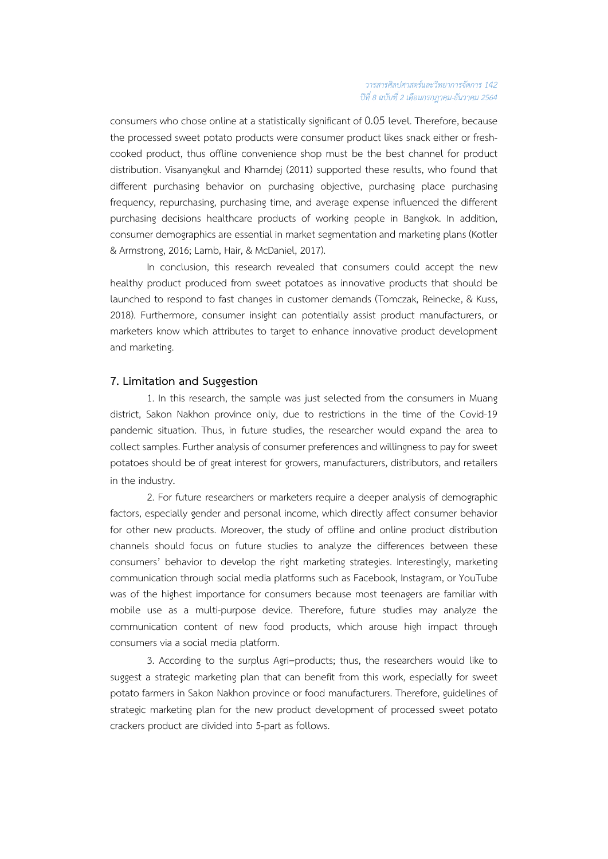consumers who chose online at a statistically significant of 0.05 level. Therefore, because the processed sweet potato products were consumer product likes snack either or freshcooked product, thus offline convenience shop must be the best channel for product distribution. Visanyangkul and Khamdej (2011) supported these results, who found that different purchasing behavior on purchasing objective, purchasing place purchasing frequency, repurchasing, purchasing time, and average expense influenced the different purchasing decisions healthcare products of working people in Bangkok. In addition, consumer demographics are essential in market segmentation and marketing plans (Kotler & Armstrong, 2016; Lamb, Hair, & McDaniel, 2017).

In conclusion, this research revealed that consumers could accept the new healthy product produced from sweet potatoes as innovative products that should be launched to respond to fast changes in customer demands (Tomczak, Reinecke, & Kuss, 2018). Furthermore, consumer insight can potentially assist product manufacturers, or marketers know which attributes to target to enhance innovative product development and marketing.

#### **7. Limitation and Suggestion**

1. In this research, the sample was just selected from the consumers in Muang district, Sakon Nakhon province only, due to restrictions in the time of the Covid-19 pandemic situation. Thus, in future studies, the researcher would expand the area to collect samples.Further analysis of consumer preferences and willingness to pay for sweet potatoes should be of great interest for growers, manufacturers, distributors, and retailers in the industry.

2. For future researchers or marketers require a deeper analysis of demographic factors, especially gender and personal income, which directly affect consumer behavior for other new products. Moreover, the study of offline and online product distribution channels should focus on future studies to analyze the differences between these consumers' behavior to develop the right marketing strategies. Interestingly, marketing communication through social media platforms such as Facebook, Instagram, or YouTube was of the highest importance for consumers because most teenagers are familiar with mobile use as a multi-purpose device. Therefore, future studies may analyze the communication content of new food products, which arouse high impact through consumers via a social media platform.

3. According to the surplus Agri–products; thus, the researchers would like to suggest a strategic marketing plan that can benefit from this work, especially for sweet potato farmers in Sakon Nakhon province or food manufacturers. Therefore, guidelines of strategic marketing plan for the new product development of processed sweet potato crackers product are divided into 5-part as follows.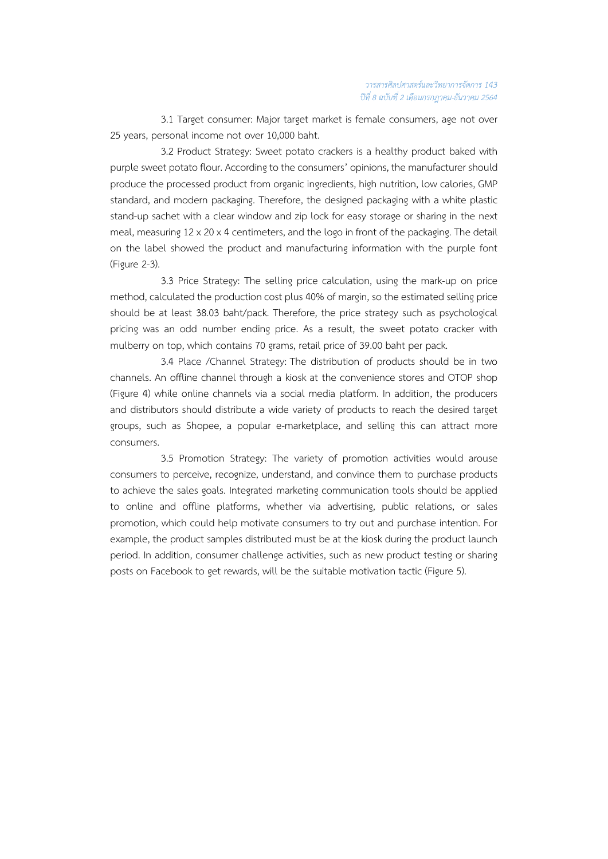3.1 Target consumer: Major target market is female consumers, age not over 25 years, personal income not over 10,000 baht.

3.2 Product Strategy: Sweet potato crackers is a healthy product baked with purple sweet potato flour. According to the consumers' opinions, the manufacturer should produce the processed product from organic ingredients, high nutrition, low calories, GMP standard, and modern packaging. Therefore, the designed packaging with a white plastic stand-up sachet with a clear window and zip lock for easy storage or sharing in the next meal, measuring 12 x 20 x 4 centimeters, and the logo in front of the packaging. The detail on the label showed the product and manufacturing information with the purple font (Figure 2-3).

3.3 Price Strategy: The selling price calculation, using the mark-up on price method, calculated the production cost plus 40% of margin, so the estimated selling price should be at least 38.03 baht/pack. Therefore, the price strategy such as psychological pricing was an odd number ending price. As a result, the sweet potato cracker with mulberry on top, which contains 70 grams, retail price of 39.00 baht per pack.

3.4 Place /Channel Strategy: The distribution of products should be in two channels. An offline channel through a kiosk at the convenience stores and OTOP shop (Figure 4) while online channels via a social media platform. In addition, the producers and distributors should distribute a wide variety of products to reach the desired target groups, such as Shopee, a popular e-marketplace, and selling this can attract more consumers.

3.5 Promotion Strategy: The variety of promotion activities would arouse consumers to perceive, recognize, understand, and convince them to purchase products to achieve the sales goals. Integrated marketing communication tools should be applied to online and offline platforms, whether via advertising, public relations, or sales promotion, which could help motivate consumers to try out and purchase intention. For example, the product samples distributed must be at the kiosk during the product launch period. In addition, consumer challenge activities, such as new product testing or sharing posts on Facebook to get rewards, will be the suitable motivation tactic (Figure 5).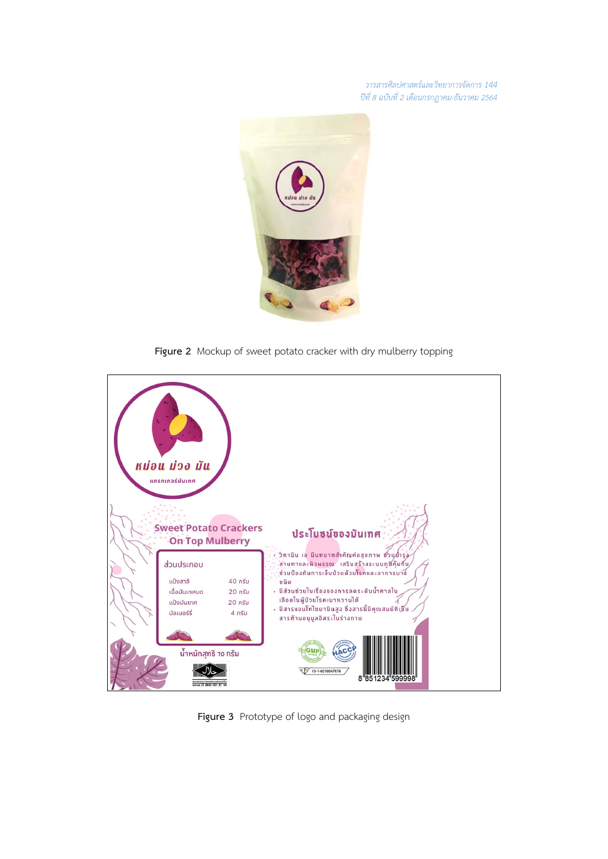*วารสารศิลปศาสตรและวิทยาการจัดการ 144 ปที่ 8 ฉบับที่ 2 เดือนกรกฎาคม-ธันวาคม 2564*



**Figure 2** Mockup of sweet potato cracker with dry mulberry topping



**Figure 3** Prototype of logo and packaging design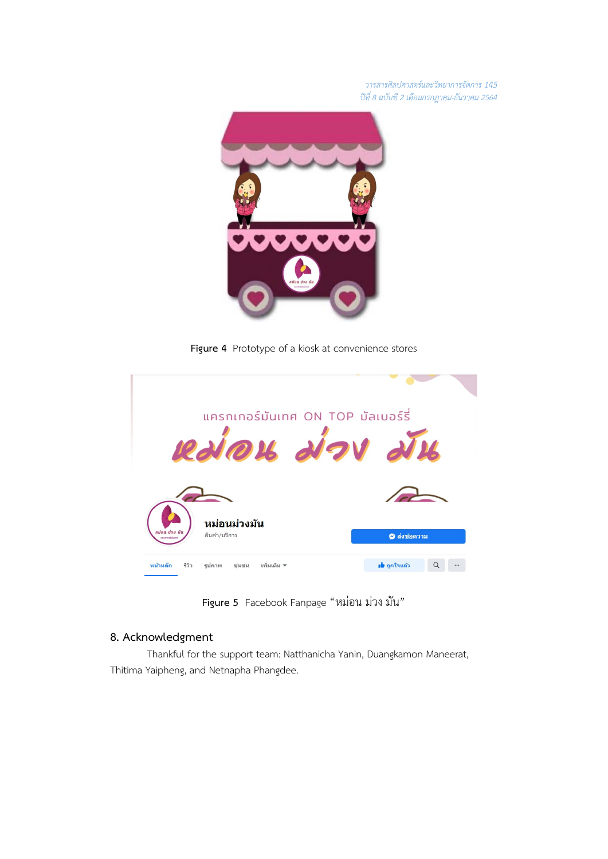*วารสารศิลปศาสตรและวิทยาการจัดการ 145 ปที่ 8 ฉบับที่ 2 เดือนกรกฎาคม-ธันวาคม 2564*



**Figure 4** Prototype of a kiosk at convenience stores



**Figure 5** Facebook Fanpage "หมอน มวง มัน"

# **8. Acknowledgment**

Thankful for the support team: Natthanicha Yanin, Duangkamon Maneerat, Thitima Yaipheng, and Netnapha Phangdee.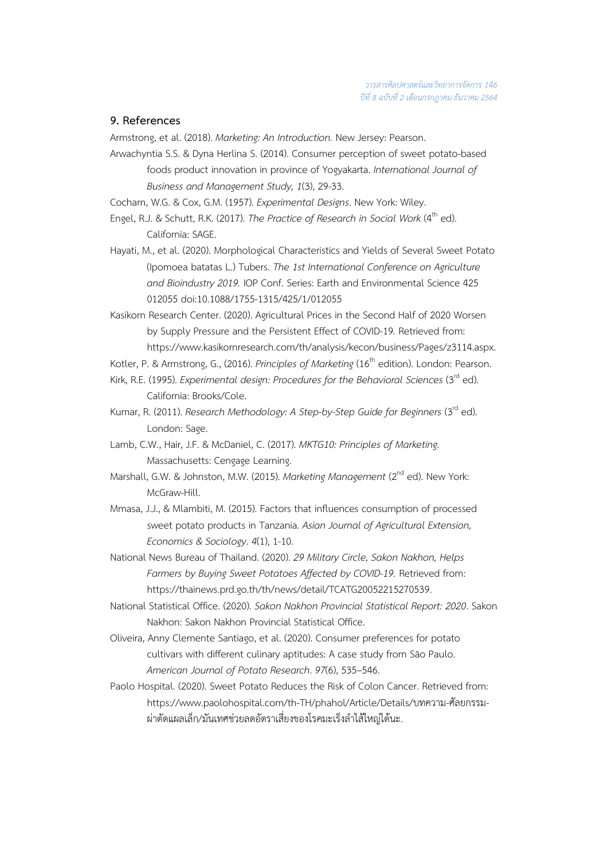## **9. References**

Armstrong, et al. (2018). *Marketing: An Introduction.* New Jersey: Pearson.

- Arwachyntia S.S. & Dyna Herlina S. (2014). Consumer perception of sweet potato-based foods product innovation in province of Yogyakarta. *International Journal of Business and Management Study, 1*(3), 29-33.
- Cocharn, W.G. & Cox, G.M. (1957). *Experimental Designs*. New York: Wiley.
- Engel, R.J. & Schutt, R.K. (2017). *The Practice of Research in Social Work* (4 th ed). California: SAGE.
- Hayati, M., et al. (2020). Morphological Characteristics and Yields of Several Sweet Potato (Ipomoea batatas L.) Tubers. *The 1st International Conference on Agriculture and Bioindustry 2019.* IOP Conf. Series: Earth and Environmental Science 425 012055 doi:10.1088/1755-1315/425/1/012055
- Kasikorn Research Center. (2020). Agricultural Prices in the Second Half of 2020 Worsen by Supply Pressure and the Persistent Effect of COVID-19*.* Retrieved from: [https://www.kasikornresearch.com/th/analysis/kecon/business/P](https://www.kasikornresearch.com/th/analysis/kecon/business/)ages/z3114.aspx.
- Kotler, P. & Armstrong, G., (2016). *Principles of Marketing* (16<sup>th</sup> edition). London: Pearson.
- Kirk, R.E. (1995). *Experimental design: Procedures for the Behavioral Sciences* (3rd ed). California: Brooks/Cole.
- Kumar, R. (2011). *Research Methodology: A Step-by-Step Guide for Beginners* (3<sup>rd</sup> ed). London: Sage.
- Lamb, C.W., Hair, J.F. & McDaniel, C. (2017). *MKTG10: Principles of Marketing.* Massachusetts: Cengage Learning.
- Marshall, G.W. & Johnston, M.W. (2015). *Marketing Management* (2 nd ed). New York: McGraw-Hill.
- Mmasa, J.J., & Mlambiti, M. (2015). Factors that influences consumption of processed sweet potato products in Tanzania. *Asian Journal of Agricultural Extension, Economics & Sociology*. *4*(1), 1-10.
- National News Bureau of Thailand. (2020). *29 Military Circle, Sakon Nakhon, Helps Farmers by Buying Sweet Potatoes Affected by COVID-19.* Retrieved from: https://thainews.prd.go.th/th/news/detail/TCATG20052215270539.
- National Statistical Office. (2020). *Sakon Nakhon Provincial Statistical Report: 2020*. Sakon Nakhon: Sakon Nakhon Provincial Statistical Office.
- Oliveira, Anny Clemente Santiago, et al. (2020). Consumer preferences for potato cultivars with different culinary aptitudes: A case study from São Paulo. *American Journal of Potato Research*. *97*(6), 535–546.
- Paolo Hospital. (2020). Sweet Potato Reduces the Risk of Colon Cancer. Retrieved from: https://www.paolohospital.com/th-TH/phahol/Article/Details/บทความ-ศัลยกรรม-ผ่าตัดแผลเล็ก/มันเทศช่วยลดอัตราเสี่ยงของโรคมะเร็งลำไส้ใหญ่ได้นะ.